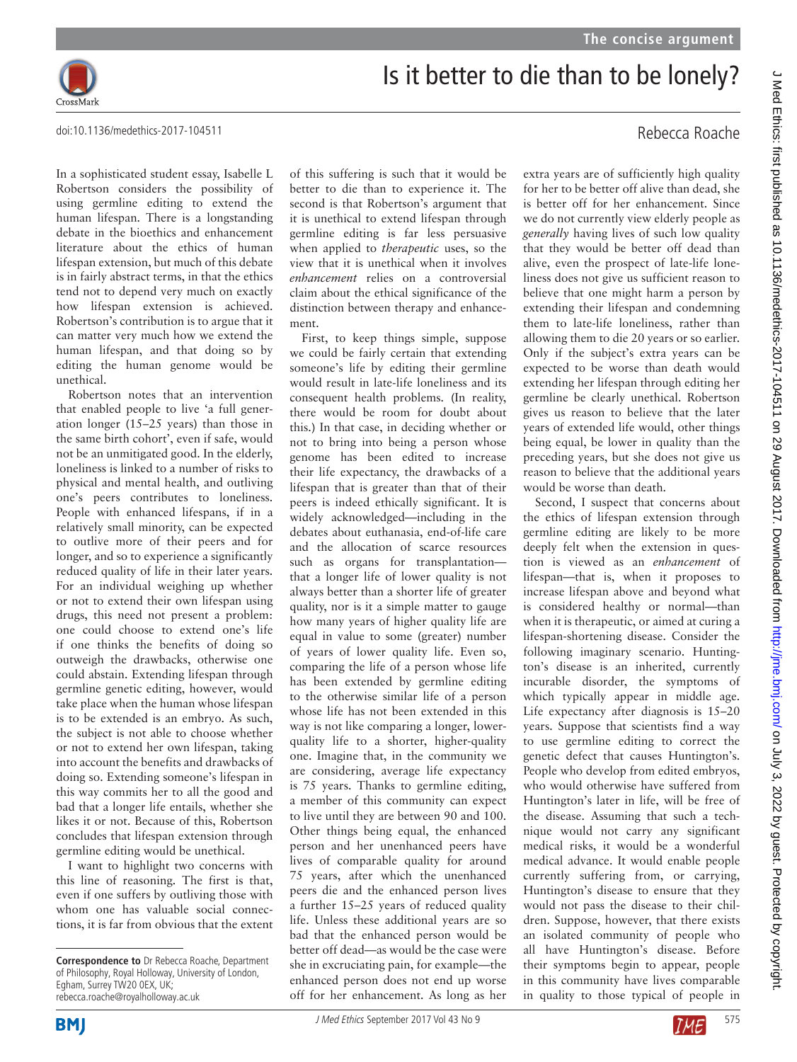

## Is it better to die than to be lonely?

doi:10.1136/medethics-2017-104511

In a sophisticated student essay, Isabelle L Robertson considers the possibility of using germline editing to extend the human lifespan. There is a longstanding debate in the bioethics and enhancement literature about the ethics of human lifespan extension, but much of this debate is in fairly abstract terms, in that the ethics tend not to depend very much on exactly how lifespan extension is achieved. Robertson's contribution is to argue that it can matter very much how we extend the human lifespan, and that doing so by editing the human genome would be unethical.

Robertson notes that an intervention that enabled people to live 'a full generation longer (15–25 years) than those in the same birth cohort', even if safe, would not be an unmitigated good. In the elderly, loneliness is linked to a number of risks to physical and mental health, and outliving one's peers contributes to loneliness. People with enhanced lifespans, if in a relatively small minority, can be expected to outlive more of their peers and for longer, and so to experience a significantly reduced quality of life in their later years. For an individual weighing up whether or not to extend their own lifespan using drugs, this need not present a problem: one could choose to extend one's life if one thinks the benefits of doing so outweigh the drawbacks, otherwise one could abstain. Extending lifespan through germline genetic editing, however, would take place when the human whose lifespan is to be extended is an embryo. As such, the subject is not able to choose whether or not to extend her own lifespan, taking into account the benefits and drawbacks of doing so. Extending someone's lifespan in this way commits her to all the good and bad that a longer life entails, whether she likes it or not. Because of this, Robertson concludes that lifespan extension through germline editing would be unethical.

I want to highlight two concerns with this line of reasoning. The first is that, even if one suffers by outliving those with whom one has valuable social connections, it is far from obvious that the extent of this suffering is such that it would be better to die than to experience it. The second is that Robertson's argument that it is unethical to extend lifespan through germline editing is far less persuasive when applied to *therapeutic* uses, so the view that it is unethical when it involves *enhancement* relies on a controversial claim about the ethical significance of the distinction between therapy and enhancement.

First, to keep things simple, suppose we could be fairly certain that extending someone's life by editing their germline would result in late-life loneliness and its consequent health problems. (In reality, there would be room for doubt about this.) In that case, in deciding whether or not to bring into being a person whose genome has been edited to increase their life expectancy, the drawbacks of a lifespan that is greater than that of their peers is indeed ethically significant. It is widely acknowledged—including in the debates about euthanasia, end-of-life care and the allocation of scarce resources such as organs for transplantation that a longer life of lower quality is not always better than a shorter life of greater quality, nor is it a simple matter to gauge how many years of higher quality life are equal in value to some (greater) number of years of lower quality life. Even so, comparing the life of a person whose life has been extended by germline editing to the otherwise similar life of a person whose life has not been extended in this way is not like comparing a longer, lowerquality life to a shorter, higher-quality one. Imagine that, in the community we are considering, average life expectancy is 75 years. Thanks to germline editing, a member of this community can expect to live until they are between 90 and 100. Other things being equal, the enhanced person and her unenhanced peers have lives of comparable quality for around 75 years, after which the unenhanced peers die and the enhanced person lives a further 15–25 years of reduced quality life. Unless these additional years are so bad that the enhanced person would be better off dead—as would be the case were she in excruciating pain, for example—the enhanced person does not end up worse off for her enhancement. As long as her

## Rebecca Roache

extra years are of sufficiently high quality for her to be better off alive than dead, she is better off for her enhancement. Since we do not currently view elderly people as *generally* having lives of such low quality that they would be better off dead than alive, even the prospect of late-life loneliness does not give us sufficient reason to believe that one might harm a person by extending their lifespan and condemning them to late-life loneliness, rather than allowing them to die 20 years or so earlier. Only if the subject's extra years can be expected to be worse than death would extending her lifespan through editing her germline be clearly unethical. Robertson gives us reason to believe that the later years of extended life would, other things being equal, be lower in quality than the preceding years, but she does not give us reason to believe that the additional years would be worse than death.

Second, I suspect that concerns about the ethics of lifespan extension through germline editing are likely to be more deeply felt when the extension in question is viewed as an *enhancement* of lifespan—that is, when it proposes to increase lifespan above and beyond what is considered healthy or normal—than when it is therapeutic, or aimed at curing a lifespan-shortening disease. Consider the following imaginary scenario. Huntington's disease is an inherited, currently incurable disorder, the symptoms of which typically appear in middle age. Life expectancy after diagnosis is 15–20 years. Suppose that scientists find a way to use germline editing to correct the genetic defect that causes Huntington's. People who develop from edited embryos, who would otherwise have suffered from Huntington's later in life, will be free of the disease. Assuming that such a technique would not carry any significant medical risks, it would be a wonderful medical advance. It would enable people currently suffering from, or carrying, Huntington's disease to ensure that they would not pass the disease to their children. Suppose, however, that there exists an isolated community of people who all have Huntington's disease. Before their symptoms begin to appear, people in this community have lives comparable in quality to those typical of people in



**Correspondence to** Dr Rebecca Roache, Department of Philosophy, Royal Holloway, University of London, Egham, Surrey TW20 0EX, UK; rebecca.roache@royalholloway.ac.uk